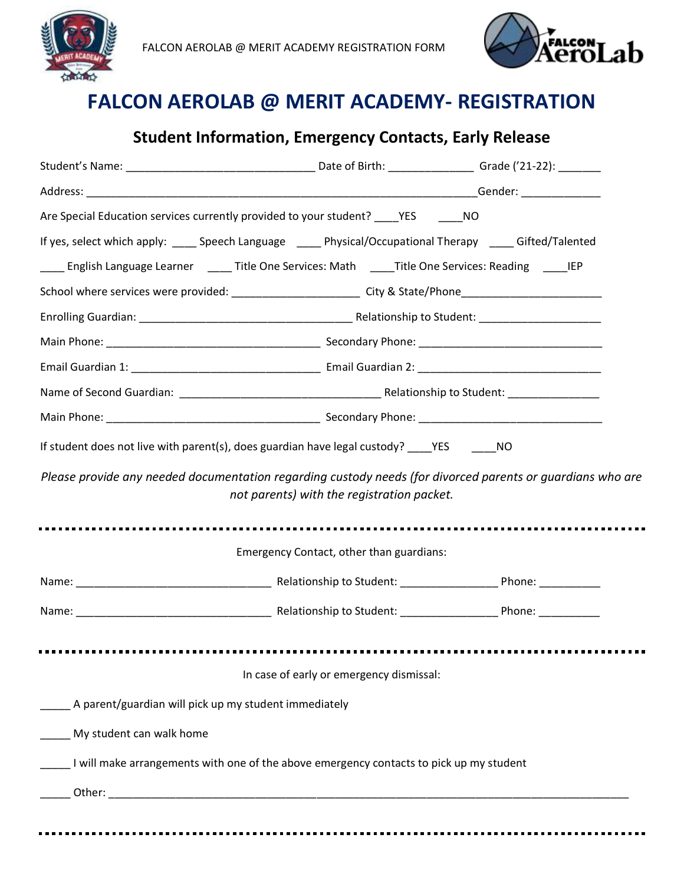



## **Student Information, Emergency Contacts, Early Release**

| Are Special Education services currently provided to your student? _____YES _______NO                          |                                            |  |
|----------------------------------------------------------------------------------------------------------------|--------------------------------------------|--|
| If yes, select which apply: _____ Speech Language _____ Physical/Occupational Therapy _____ Gifted/Talented    |                                            |  |
| ____ English Language Learner _____ Title One Services: Math _____ Title One Services: Reading _____ IEP       |                                            |  |
| School where services were provided: ____________________________City & State/Phone___________________________ |                                            |  |
|                                                                                                                |                                            |  |
|                                                                                                                |                                            |  |
|                                                                                                                |                                            |  |
|                                                                                                                |                                            |  |
|                                                                                                                |                                            |  |
| If student does not live with parent(s), does guardian have legal custody? ____YES _______NO                   |                                            |  |
| Please provide any needed documentation regarding custody needs (for divorced parents or guardians who are     | not parents) with the registration packet. |  |
|                                                                                                                | Emergency Contact, other than guardians:   |  |
|                                                                                                                |                                            |  |
|                                                                                                                |                                            |  |
|                                                                                                                |                                            |  |
|                                                                                                                | In case of early or emergency dismissal:   |  |
| A parent/guardian will pick up my student immediately                                                          |                                            |  |
| My student can walk home                                                                                       |                                            |  |
| I will make arrangements with one of the above emergency contacts to pick up my student                        |                                            |  |
|                                                                                                                |                                            |  |
|                                                                                                                |                                            |  |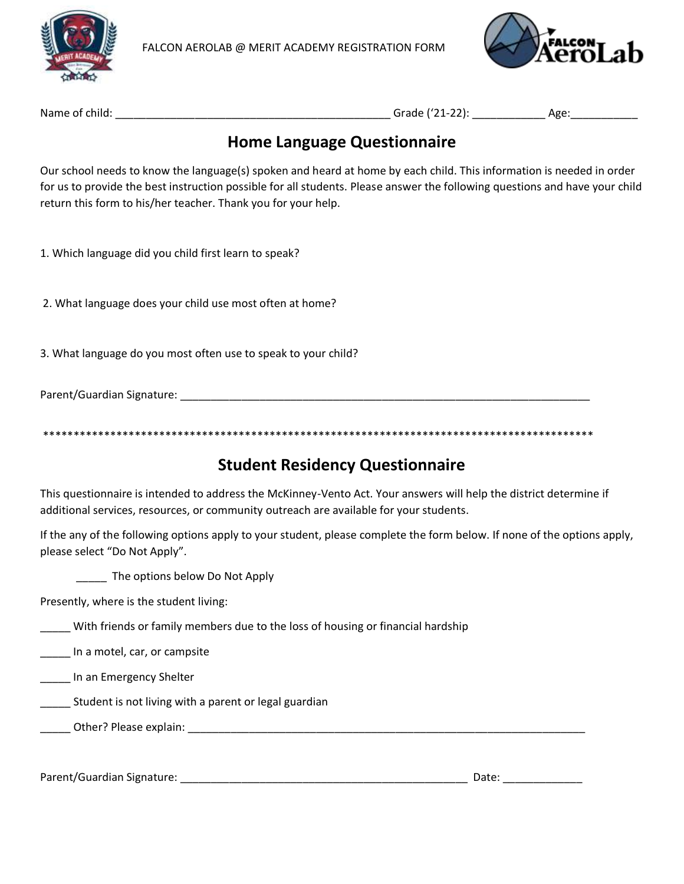



Name of child: \_\_\_\_\_\_\_\_\_\_\_\_\_\_\_\_\_\_\_\_\_\_\_\_\_\_\_\_\_\_\_\_\_\_\_\_\_\_\_\_\_\_\_\_\_ Grade ('21-22): \_\_\_\_\_\_\_\_\_\_\_\_ Age:\_\_\_\_\_\_\_\_\_\_\_

### **Home Language Questionnaire**

Our school needs to know the language(s) spoken and heard at home by each child. This information is needed in order for us to provide the best instruction possible for all students. Please answer the following questions and have your child return this form to his/her teacher. Thank you for your help.

1. Which language did you child first learn to speak?

2. What language does your child use most often at home?

3. What language do you most often use to speak to your child?

Parent/Guardian Signature: **Example 2018** 

\*\*\*\*\*\*\*\*\*\*\*\*\*\*\*\*\*\*\*\*\*\*\*\*\*\*\*\*\*\*\*\*\*\*\*\*\*\*\*\*\*\*\*\*\*\*\*\*\*\*\*\*\*\*\*\*\*\*\*\*\*\*\*\*\*\*\*\*\*\*\*\*\*\*\*\*\*\*\*\*\*\*\*\*\*\*\*\*\*\*

### **Student Residency Questionnaire**

This questionnaire is intended to address the McKinney-Vento Act. Your answers will help the district determine if additional services, resources, or community outreach are available for your students.

If the any of the following options apply to your student, please complete the form below. If none of the options apply, please select "Do Not Apply".

The options below Do Not Apply

Presently, where is the student living:

\_\_\_\_\_ With friends or family members due to the loss of housing or financial hardship

**In a motel, car, or campsite** 

\_\_\_\_\_ In an Emergency Shelter

**Example 20** Student is not living with a parent or legal guardian

\_\_\_\_\_ Other? Please explain: \_\_\_\_\_\_\_\_\_\_\_\_\_\_\_\_\_\_\_\_\_\_\_\_\_\_\_\_\_\_\_\_\_\_\_\_\_\_\_\_\_\_\_\_\_\_\_\_\_\_\_\_\_\_\_\_\_\_\_\_\_\_\_\_\_

Parent/Guardian Signature: \_\_\_\_\_\_\_\_\_\_\_\_\_\_\_\_\_\_\_\_\_\_\_\_\_\_\_\_\_\_\_\_\_\_\_\_\_\_\_\_\_\_\_\_\_\_\_ Date: \_\_\_\_\_\_\_\_\_\_\_\_\_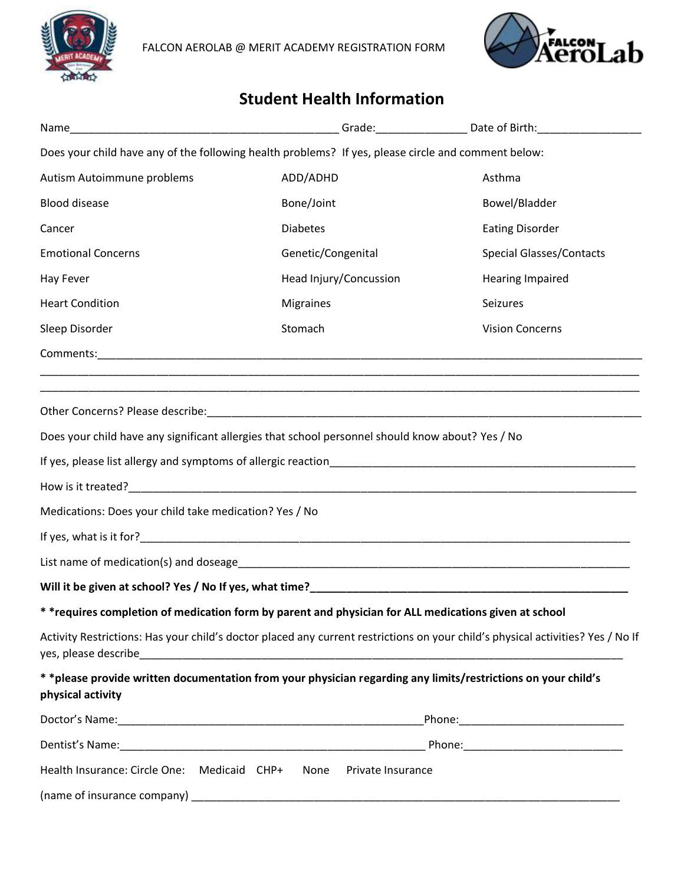



## **Student Health Information**

|                                                        | Does your child have any of the following health problems? If yes, please circle and comment below:                  |                                                                                                                                 |
|--------------------------------------------------------|----------------------------------------------------------------------------------------------------------------------|---------------------------------------------------------------------------------------------------------------------------------|
| Autism Autoimmune problems                             | ADD/ADHD                                                                                                             | Asthma                                                                                                                          |
| <b>Blood disease</b>                                   | Bone/Joint                                                                                                           | Bowel/Bladder                                                                                                                   |
| Cancer                                                 | <b>Diabetes</b>                                                                                                      | <b>Eating Disorder</b>                                                                                                          |
| <b>Emotional Concerns</b>                              | Genetic/Congenital                                                                                                   | <b>Special Glasses/Contacts</b>                                                                                                 |
| Hay Fever                                              | Head Injury/Concussion                                                                                               | Hearing Impaired                                                                                                                |
| <b>Heart Condition</b>                                 | <b>Migraines</b>                                                                                                     | Seizures                                                                                                                        |
| Sleep Disorder                                         | Stomach                                                                                                              | <b>Vision Concerns</b>                                                                                                          |
|                                                        |                                                                                                                      |                                                                                                                                 |
|                                                        | <u> 1980 - Johann John Harry Harry Harry Harry Harry Harry Harry Harry Harry Harry Harry Harry Harry Harry Harry</u> |                                                                                                                                 |
|                                                        |                                                                                                                      |                                                                                                                                 |
|                                                        | Does your child have any significant allergies that school personnel should know about? Yes / No                     |                                                                                                                                 |
|                                                        |                                                                                                                      |                                                                                                                                 |
|                                                        |                                                                                                                      |                                                                                                                                 |
| Medications: Does your child take medication? Yes / No |                                                                                                                      |                                                                                                                                 |
|                                                        |                                                                                                                      |                                                                                                                                 |
|                                                        |                                                                                                                      |                                                                                                                                 |
|                                                        |                                                                                                                      |                                                                                                                                 |
|                                                        | * *requires completion of medication form by parent and physician for ALL medications given at school                |                                                                                                                                 |
| yes, please describe                                   |                                                                                                                      | Activity Restrictions: Has your child's doctor placed any current restrictions on your child's physical activities? Yes / No If |
| physical activity                                      | * *please provide written documentation from your physician regarding any limits/restrictions on your child's        |                                                                                                                                 |
|                                                        |                                                                                                                      |                                                                                                                                 |
|                                                        |                                                                                                                      |                                                                                                                                 |
| Health Insurance: Circle One: Medicaid CHP+ None       | Private Insurance                                                                                                    |                                                                                                                                 |
|                                                        |                                                                                                                      |                                                                                                                                 |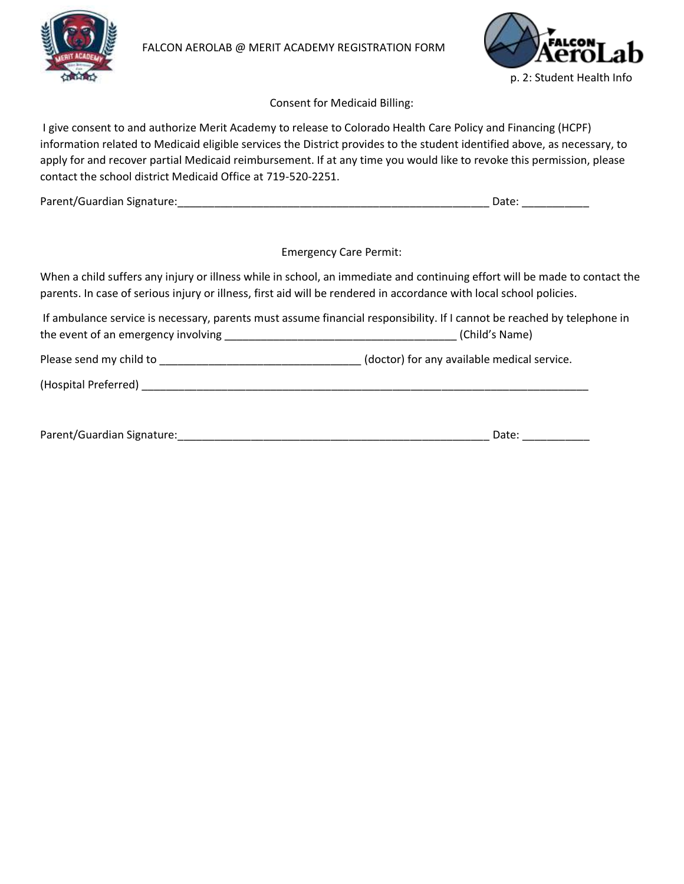



Consent for Medicaid Billing:

I give consent to and authorize Merit Academy to release to Colorado Health Care Policy and Financing (HCPF) information related to Medicaid eligible services the District provides to the student identified above, as necessary, to apply for and recover partial Medicaid reimbursement. If at any time you would like to revoke this permission, please contact the school district Medicaid Office at 719-520-2251.

| Parent/Guardian Signature: |  |
|----------------------------|--|
|----------------------------|--|

Emergency Care Permit:

When a child suffers any injury or illness while in school, an immediate and continuing effort will be made to contact the parents. In case of serious injury or illness, first aid will be rendered in accordance with local school policies.

If ambulance service is necessary, parents must assume financial responsibility. If I cannot be reached by telephone in the event of an emergency involving \_\_\_\_\_\_\_\_\_\_\_\_\_\_\_\_\_\_\_\_\_\_\_\_\_\_\_\_\_\_\_\_\_\_\_\_\_\_ (Child's Name)

Please send my child to \_\_\_\_\_\_\_\_\_\_\_\_\_\_\_\_\_\_\_\_\_\_\_\_\_\_\_\_\_\_\_\_\_ (doctor) for any available medical service.

(Hospital Preferred) \_\_\_\_\_\_\_\_\_\_\_\_\_\_\_\_\_\_\_\_\_\_\_\_\_\_\_\_\_\_\_\_\_\_\_\_\_\_\_\_\_\_\_\_\_\_\_\_\_\_\_\_\_\_\_\_\_\_\_\_\_\_\_\_\_\_\_\_\_\_\_\_\_

| Parent/Guardian Signature: |  |
|----------------------------|--|
|----------------------------|--|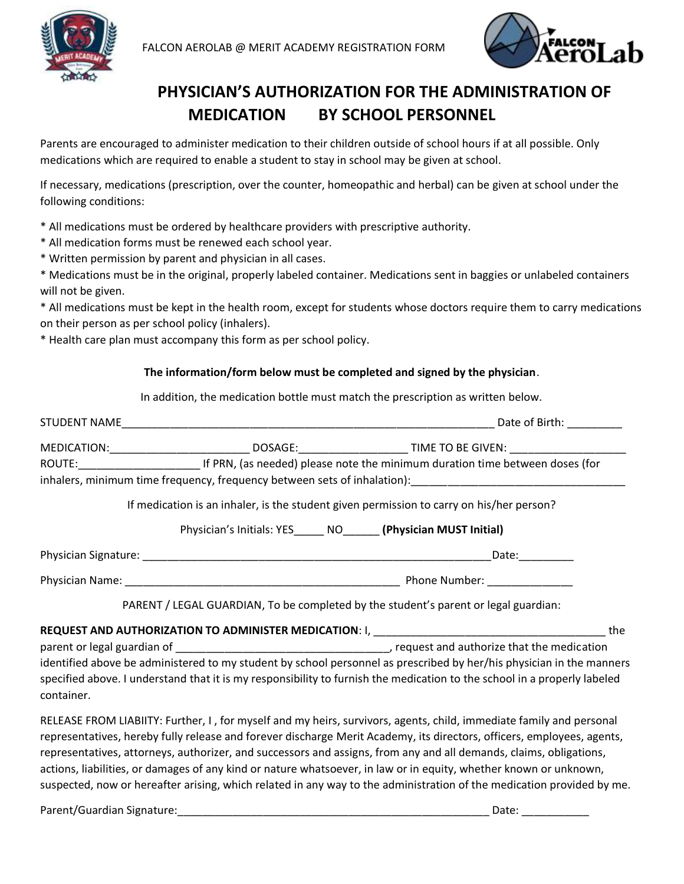



## **PHYSICIAN'S AUTHORIZATION FOR THE ADMINISTRATION OF MEDICATION BY SCHOOL PERSONNEL**

Parents are encouraged to administer medication to their children outside of school hours if at all possible. Only medications which are required to enable a student to stay in school may be given at school.

If necessary, medications (prescription, over the counter, homeopathic and herbal) can be given at school under the following conditions:

- \* All medications must be ordered by healthcare providers with prescriptive authority.
- \* All medication forms must be renewed each school year.
- \* Written permission by parent and physician in all cases.

\* Medications must be in the original, properly labeled container. Medications sent in baggies or unlabeled containers will not be given.

\* All medications must be kept in the health room, except for students whose doctors require them to carry medications on their person as per school policy (inhalers).

\* Health care plan must accompany this form as per school policy.

#### **The information/form below must be completed and signed by the physician**.

In addition, the medication bottle must match the prescription as written below.

|            |                                                                                          | MEDICATION:__________________________________DOSAGE:__________________________TIME TO BE GIVEN: ____________________                                                                                                                             |  |
|------------|------------------------------------------------------------------------------------------|--------------------------------------------------------------------------------------------------------------------------------------------------------------------------------------------------------------------------------------------------|--|
|            |                                                                                          |                                                                                                                                                                                                                                                  |  |
|            |                                                                                          | inhalers, minimum time frequency, frequency between sets of inhalation): [14] [14] [14] [14] [14] [15] [16] [1                                                                                                                                   |  |
|            | If medication is an inhaler, is the student given permission to carry on his/her person? |                                                                                                                                                                                                                                                  |  |
|            | Physician's Initials: YES______ NO_______ (Physician MUST Initial)                       |                                                                                                                                                                                                                                                  |  |
|            |                                                                                          |                                                                                                                                                                                                                                                  |  |
|            |                                                                                          |                                                                                                                                                                                                                                                  |  |
|            | PARENT / LEGAL GUARDIAN, To be completed by the student's parent or legal guardian:      |                                                                                                                                                                                                                                                  |  |
|            |                                                                                          |                                                                                                                                                                                                                                                  |  |
|            |                                                                                          |                                                                                                                                                                                                                                                  |  |
| container. |                                                                                          | identified above be administered to my student by school personnel as prescribed by her/his physician in the manners<br>specified above. I understand that it is my responsibility to furnish the medication to the school in a properly labeled |  |
|            |                                                                                          |                                                                                                                                                                                                                                                  |  |

RELEASE FROM LIABIITY: Further, I , for myself and my heirs, survivors, agents, child, immediate family and personal representatives, hereby fully release and forever discharge Merit Academy, its directors, officers, employees, agents, representatives, attorneys, authorizer, and successors and assigns, from any and all demands, claims, obligations, actions, liabilities, or damages of any kind or nature whatsoever, in law or in equity, whether known or unknown, suspected, now or hereafter arising, which related in any way to the administration of the medication provided by me.

Parent/Guardian Signature:\_\_\_\_\_\_\_\_\_\_\_\_\_\_\_\_\_\_\_\_\_\_\_\_\_\_\_\_\_\_\_\_\_\_\_\_\_\_\_\_\_\_\_\_\_\_\_\_\_\_\_ Date: \_\_\_\_\_\_\_\_\_\_\_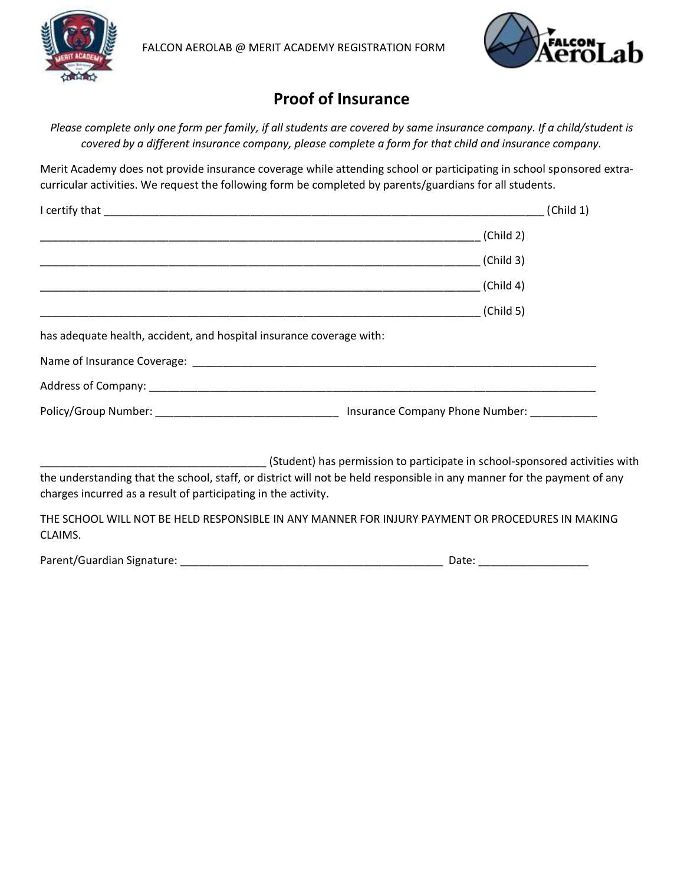



## **Proof of Insurance**

*Please complete only one form per family, if all students are covered by same insurance company. If a child/student is covered by a different insurance company, please complete a form for that child and insurance company.*

Merit Academy does not provide insurance coverage while attending school or participating in school sponsored extracurricular activities. We request the following form be completed by parents/guardians for all students.

|                                                                      | (Child 1)                                                                                                                                                                                                                      |
|----------------------------------------------------------------------|--------------------------------------------------------------------------------------------------------------------------------------------------------------------------------------------------------------------------------|
|                                                                      | (Child 2)                                                                                                                                                                                                                      |
|                                                                      | (Child 3)                                                                                                                                                                                                                      |
|                                                                      | (Child 4)                                                                                                                                                                                                                      |
|                                                                      | (Child 5)                                                                                                                                                                                                                      |
| has adequate health, accident, and hospital insurance coverage with: |                                                                                                                                                                                                                                |
|                                                                      | Name of Insurance Coverage: etc. All and the control of the control of the control of the control of the control of the control of the control of the control of the control of the control of the control of the control of t |
|                                                                      |                                                                                                                                                                                                                                |
|                                                                      |                                                                                                                                                                                                                                |
|                                                                      | (Student) has permission to participate in school-sponsored activities with                                                                                                                                                    |

the understanding that the school, staff, or district will not be held responsible in any manner for the payment of any charges incurred as a result of participating in the activity.

THE SCHOOL WILL NOT BE HELD RESPONSIBLE IN ANY MANNER FOR INJURY PAYMENT OR PROCEDURES IN MAKING CLAIMS.

Parent/Guardian Signature: \_\_\_\_\_\_\_\_\_\_\_\_\_\_\_\_\_\_\_\_\_\_\_\_\_\_\_\_\_\_\_\_\_\_\_\_\_\_\_\_\_\_\_ Date: \_\_\_\_\_\_\_\_\_\_\_\_\_\_\_\_\_\_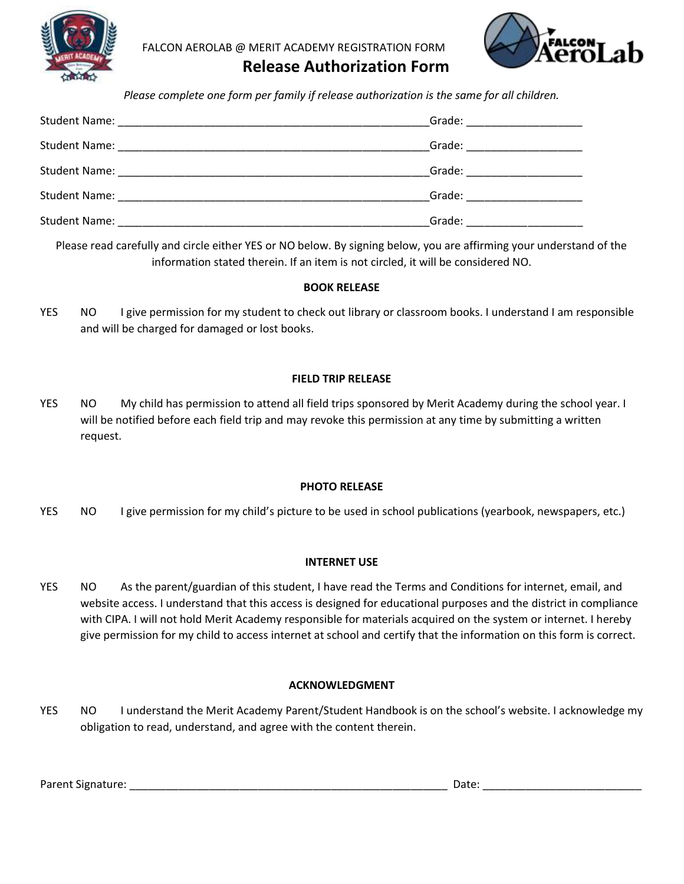



 **Release Authorization Form**

*Please complete one form per family if release authorization is the same for all children.*

| Grade: ______________________  |
|--------------------------------|
| Grade: _______________________ |
| Grade: _______________________ |
| Grade: ______________________  |
|                                |

Please read carefully and circle either YES or NO below. By signing below, you are affirming your understand of the information stated therein. If an item is not circled, it will be considered NO.

#### **BOOK RELEASE**

YES NO I give permission for my student to check out library or classroom books. I understand I am responsible and will be charged for damaged or lost books.

#### **FIELD TRIP RELEASE**

YES NO My child has permission to attend all field trips sponsored by Merit Academy during the school year. I will be notified before each field trip and may revoke this permission at any time by submitting a written request.

#### **PHOTO RELEASE**

YES NO I give permission for my child's picture to be used in school publications (yearbook, newspapers, etc.)

#### **INTERNET USE**

YES NO As the parent/guardian of this student, I have read the Terms and Conditions for internet, email, and website access. I understand that this access is designed for educational purposes and the district in compliance with CIPA. I will not hold Merit Academy responsible for materials acquired on the system or internet. I hereby give permission for my child to access internet at school and certify that the information on this form is correct.

#### **ACKNOWLEDGMENT**

YES NO I understand the Merit Academy Parent/Student Handbook is on the school's website. I acknowledge my obligation to read, understand, and agree with the content therein.

Parent Signature: \_\_\_\_\_\_\_\_\_\_\_\_\_\_\_\_\_\_\_\_\_\_\_\_\_\_\_\_\_\_\_\_\_\_\_\_\_\_\_\_\_\_\_\_\_\_\_\_\_\_\_\_ Date: \_\_\_\_\_\_\_\_\_\_\_\_\_\_\_\_\_\_\_\_\_\_\_\_\_\_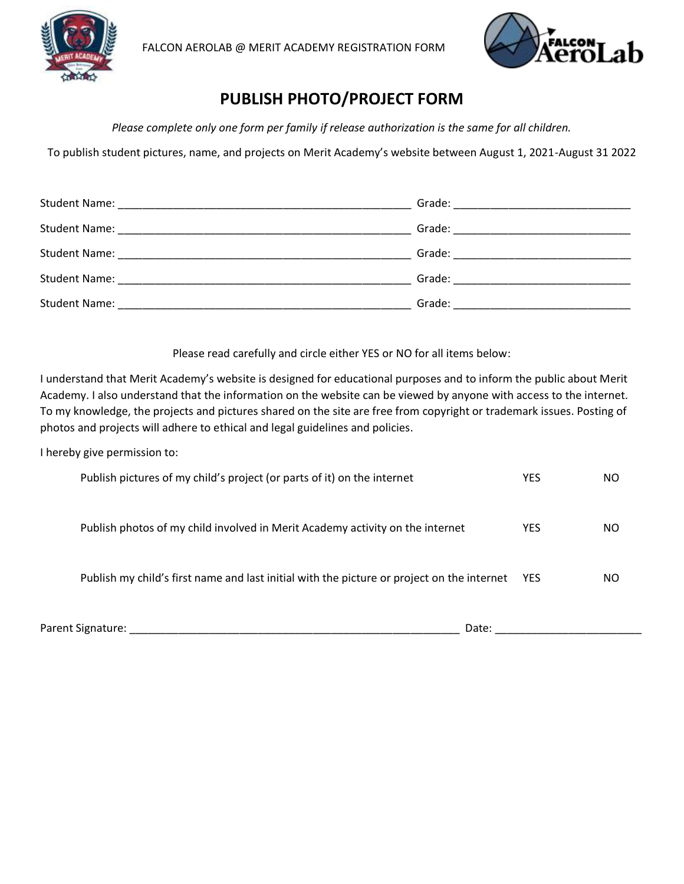



## **PUBLISH PHOTO/PROJECT FORM**

*Please complete only one form per family if release authorization is the same for all children.*

To publish student pictures, name, and projects on Merit Academy's website between August 1, 2021-August 31 2022

|                                                         | Grade: __________________________ |
|---------------------------------------------------------|-----------------------------------|
|                                                         |                                   |
| Student Name: <u>__________________________________</u> |                                   |

Please read carefully and circle either YES or NO for all items below:

I understand that Merit Academy's website is designed for educational purposes and to inform the public about Merit Academy. I also understand that the information on the website can be viewed by anyone with access to the internet. To my knowledge, the projects and pictures shared on the site are free from copyright or trademark issues. Posting of photos and projects will adhere to ethical and legal guidelines and policies.

I hereby give permission to:

| Publish pictures of my child's project (or parts of it) on the internet                    | YES        | NO |
|--------------------------------------------------------------------------------------------|------------|----|
| Publish photos of my child involved in Merit Academy activity on the internet              | YES        | ΝO |
| Publish my child's first name and last initial with the picture or project on the internet | <b>YES</b> | ΝO |
| Parent Signature:<br>Date:                                                                 |            |    |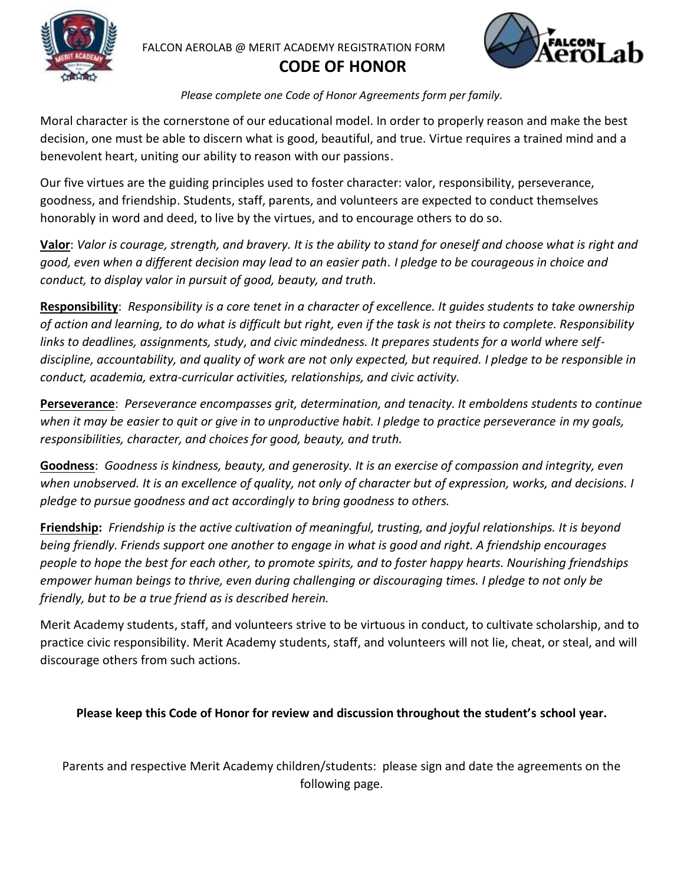

### **CODE OF HONOR**



*Please complete one Code of Honor Agreements form per family.*

Moral character is the cornerstone of our educational model. In order to properly reason and make the best decision, one must be able to discern what is good, beautiful, and true. Virtue requires a trained mind and a benevolent heart, uniting our ability to reason with our passions.

Our five virtues are the guiding principles used to foster character: valor, responsibility, perseverance, goodness, and friendship. Students, staff, parents, and volunteers are expected to conduct themselves honorably in word and deed, to live by the virtues, and to encourage others to do so.

**Valor**: *Valor is courage, strength, and bravery. It is the ability to stand for oneself and choose what is right and good, even when a different decision may lead to an easier path. I pledge to be courageous in choice and conduct, to display valor in pursuit of good, beauty, and truth.*

**Responsibility**: *Responsibility is a core tenet in a character of excellence. It guides students to take ownership of action and learning, to do what is difficult but right, even if the task is not theirs to complete. Responsibility links to deadlines, assignments, study, and civic mindedness. It prepares students for a world where selfdiscipline, accountability, and quality of work are not only expected, but required. I pledge to be responsible in conduct, academia, extra-curricular activities, relationships, and civic activity.*

**Perseverance**: *Perseverance encompasses grit, determination, and tenacity. It emboldens students to continue when it may be easier to quit or give in to unproductive habit. I pledge to practice perseverance in my goals, responsibilities, character, and choices for good, beauty, and truth.* 

**Goodness**: *Goodness is kindness, beauty, and generosity. It is an exercise of compassion and integrity, even*  when unobserved. It is an excellence of quality, not only of character but of expression, works, and decisions. I *pledge to pursue goodness and act accordingly to bring goodness to others.* 

**Friendship:** *Friendship is the active cultivation of meaningful, trusting, and joyful relationships. It is beyond being friendly. Friends support one another to engage in what is good and right. A friendship encourages people to hope the best for each other, to promote spirits, and to foster happy hearts. Nourishing friendships empower human beings to thrive, even during challenging or discouraging times. I pledge to not only be friendly, but to be a true friend as is described herein.*

Merit Academy students, staff, and volunteers strive to be virtuous in conduct, to cultivate scholarship, and to practice civic responsibility. Merit Academy students, staff, and volunteers will not lie, cheat, or steal, and will discourage others from such actions.

#### **Please keep this Code of Honor for review and discussion throughout the student's school year.**

Parents and respective Merit Academy children/students: please sign and date the agreements on the following page.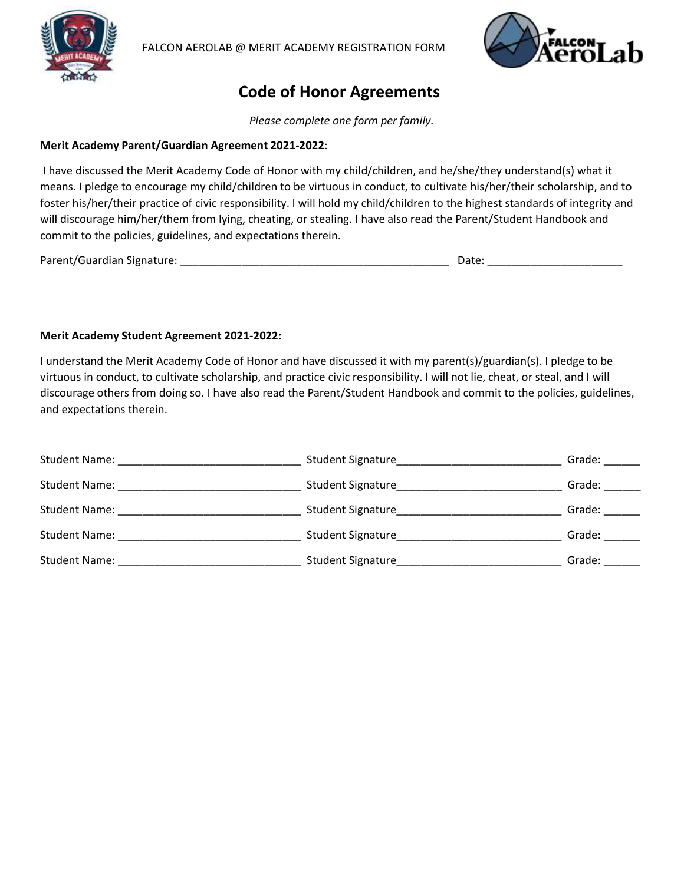



## **Code of Honor Agreements**

*Please complete one form per family.*

#### **Merit Academy Parent/Guardian Agreement 2021-2022**:

I have discussed the Merit Academy Code of Honor with my child/children, and he/she/they understand(s) what it means. I pledge to encourage my child/children to be virtuous in conduct, to cultivate his/her/their scholarship, and to foster his/her/their practice of civic responsibility. I will hold my child/children to the highest standards of integrity and will discourage him/her/them from lying, cheating, or stealing. I have also read the Parent/Student Handbook and commit to the policies, guidelines, and expectations therein.

Parent/Guardian Signature: \_\_\_\_\_\_\_\_\_\_\_\_\_\_\_\_\_\_\_\_\_\_\_\_\_\_\_\_\_\_\_\_\_\_\_\_\_\_\_\_\_\_\_\_ Date: \_\_\_\_\_\_\_\_\_\_\_\_\_\_\_\_\_\_\_\_\_\_

#### **Merit Academy Student Agreement 2021-2022:**

I understand the Merit Academy Code of Honor and have discussed it with my parent(s)/guardian(s). I pledge to be virtuous in conduct, to cultivate scholarship, and practice civic responsibility. I will not lie, cheat, or steal, and I will discourage others from doing so. I have also read the Parent/Student Handbook and commit to the policies, guidelines, and expectations therein.

| <b>Student Name:</b>                                                                                                                   | Student Signature | Grade: |
|----------------------------------------------------------------------------------------------------------------------------------------|-------------------|--------|
| Student Name:<br><u> 1980 - Jan Bernard Barbara, manazarta da kasas da shekara 1980 - Ang Barbara ng Barbara ng Barbara ng Barbara</u> | Student Signature | Grade: |
| <b>Student Name:</b>                                                                                                                   | Student Signature | Grade: |
| <b>Student Name:</b>                                                                                                                   | Student Signature | Grade: |
| <b>Student Name:</b>                                                                                                                   | Student Signature | Grade: |